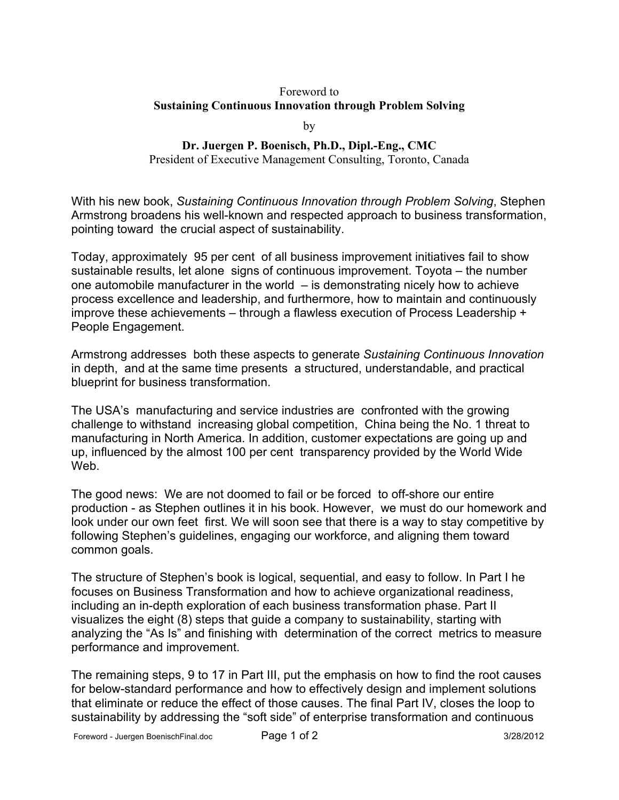## Foreword to **Sustaining Continuous Innovation through Problem Solving**

by

## **Dr. Juergen P. Boenisch, Ph.D., Dipl.-Eng., CMC**

President of Executive Management Consulting, Toronto, Canada

With his new book, *Sustaining Continuous Innovation through Problem Solving*, Stephen Armstrong broadens his well-known and respected approach to business transformation, pointing toward the crucial aspect of sustainability.

Today, approximately 95 per cent of all business improvement initiatives fail to show sustainable results, let alone signs of continuous improvement. Toyota – the number one automobile manufacturer in the world – is demonstrating nicely how to achieve process excellence and leadership, and furthermore, how to maintain and continuously improve these achievements – through a flawless execution of Process Leadership + People Engagement.

Armstrong addresses both these aspects to generate *Sustaining Continuous Innovation* in depth, and at the same time presents a structured, understandable, and practical blueprint for business transformation.

The USA's manufacturing and service industries are confronted with the growing challenge to withstand increasing global competition, China being the No. 1 threat to manufacturing in North America. In addition, customer expectations are going up and up, influenced by the almost 100 per cent transparency provided by the World Wide Web.

The good news: We are not doomed to fail or be forced to off-shore our entire production - as Stephen outlines it in his book. However, we must do our homework and look under our own feet first. We will soon see that there is a way to stay competitive by following Stephen's guidelines, engaging our workforce, and aligning them toward common goals.

The structure of Stephen's book is logical, sequential, and easy to follow. In Part I he focuses on Business Transformation and how to achieve organizational readiness, including an in-depth exploration of each business transformation phase. Part II visualizes the eight (8) steps that guide a company to sustainability, starting with analyzing the "As Is" and finishing with determination of the correct metrics to measure performance and improvement.

The remaining steps, 9 to 17 in Part III, put the emphasis on how to find the root causes for below-standard performance and how to effectively design and implement solutions that eliminate or reduce the effect of those causes. The final Part IV, closes the loop to sustainability by addressing the "soft side" of enterprise transformation and continuous